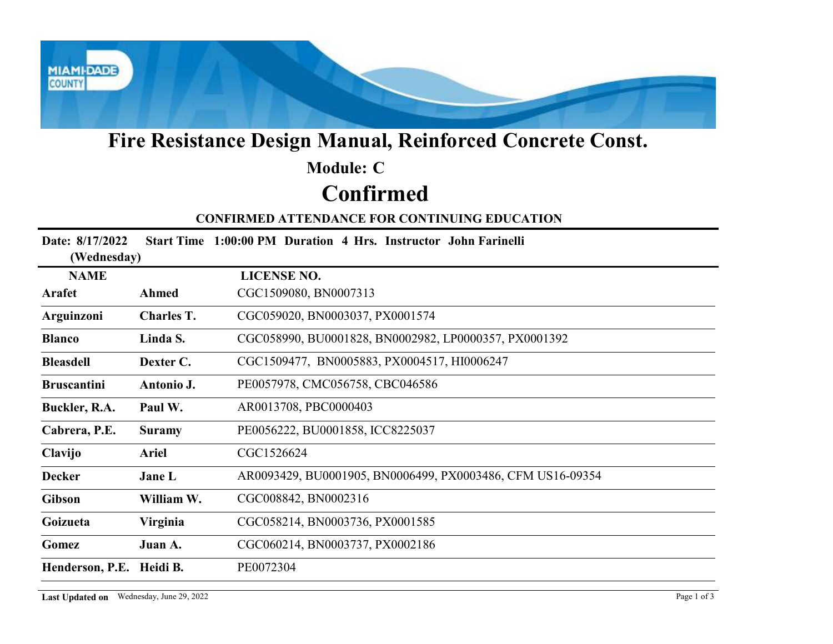

# Fire Resistance Design Manual, Reinforced Concrete Const.

# Confirmed Module: C

### CONFIRMED ATTENDANCE FOR CONTINUING EDUCATION

| Fire Resistance Design Manual, Reinforced Concrete Const. |                  |                                                                 |  |  |  |
|-----------------------------------------------------------|------------------|-----------------------------------------------------------------|--|--|--|
|                                                           |                  | <b>Module: C</b>                                                |  |  |  |
|                                                           | <b>Confirmed</b> |                                                                 |  |  |  |
|                                                           |                  | <b>CONFIRMED ATTENDANCE FOR CONTINUING EDUCATION</b>            |  |  |  |
| Date: 8/17/2022<br>(Wednesday)                            |                  | Start Time 1:00:00 PM Duration 4 Hrs. Instructor John Farinelli |  |  |  |
| <b>NAME</b>                                               |                  | <b>LICENSE NO.</b>                                              |  |  |  |
| Arafet                                                    | <b>Ahmed</b>     | CGC1509080, BN0007313                                           |  |  |  |
| Arguinzoni                                                | Charles T.       | CGC059020, BN0003037, PX0001574                                 |  |  |  |
| <b>Blanco</b>                                             | Linda S.         | CGC058990, BU0001828, BN0002982, LP0000357, PX0001392           |  |  |  |
| <b>Bleasdell</b>                                          | Dexter C.        | CGC1509477, BN0005883, PX0004517, HI0006247                     |  |  |  |
| <b>Bruscantini</b>                                        | Antonio J.       | PE0057978, CMC056758, CBC046586                                 |  |  |  |
| Buckler, R.A.                                             | Paul W.          | AR0013708, PBC0000403                                           |  |  |  |
| Cabrera, P.E.                                             | <b>Suramy</b>    | PE0056222, BU0001858, ICC8225037                                |  |  |  |
| Clavijo                                                   | <b>Ariel</b>     | CGC1526624                                                      |  |  |  |
| <b>Decker</b>                                             | Jane L           | AR0093429, BU0001905, BN0006499, PX0003486, CFM US16-09354      |  |  |  |
| <b>Gibson</b>                                             | William W.       | CGC008842, BN0002316                                            |  |  |  |
| Goizueta                                                  | Virginia         | CGC058214, BN0003736, PX0001585                                 |  |  |  |
| Gomez                                                     | Juan A.          | CGC060214, BN0003737, PX0002186                                 |  |  |  |
| Henderson, P.E. Heidi B.                                  |                  | PE0072304                                                       |  |  |  |
| Last Updated on Wednesday, June 29, 2022                  |                  | Page 1 of 3                                                     |  |  |  |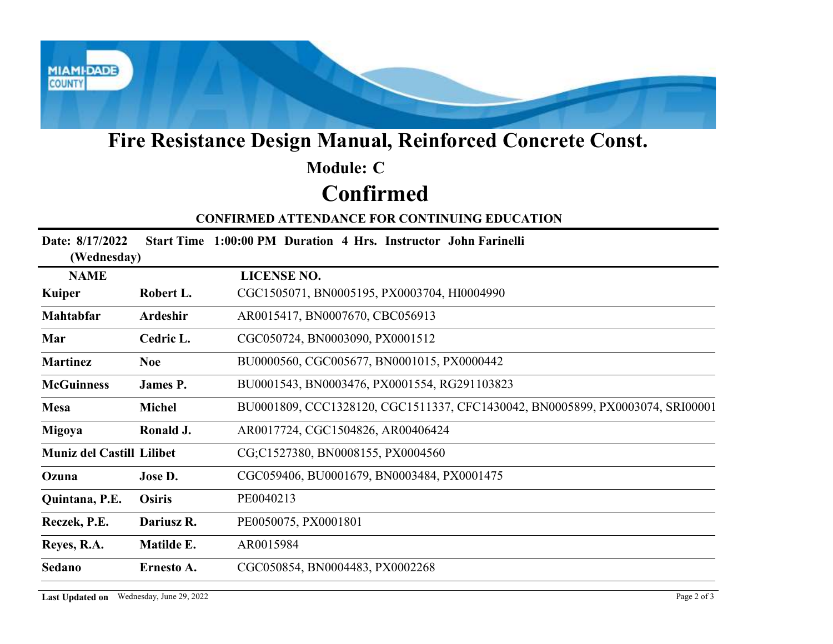

# Fire Resistance Design Manual, Reinforced Concrete Const.

# Confirmed Module: C

#### CONFIRMED ATTENDANCE FOR CONTINUING EDUCATION

| Fire Resistance Design Manual, Reinforced Concrete Const. |                  |                                                                               |  |  |  |
|-----------------------------------------------------------|------------------|-------------------------------------------------------------------------------|--|--|--|
|                                                           |                  | <b>Module: C</b>                                                              |  |  |  |
|                                                           | <b>Confirmed</b> |                                                                               |  |  |  |
|                                                           |                  | <b>CONFIRMED ATTENDANCE FOR CONTINUING EDUCATION</b>                          |  |  |  |
| Date: 8/17/2022<br>(Wednesday)                            |                  | Start Time 1:00:00 PM Duration 4 Hrs. Instructor John Farinelli               |  |  |  |
| <b>NAME</b>                                               |                  | <b>LICENSE NO.</b>                                                            |  |  |  |
| Kuiper                                                    | Robert L.        | CGC1505071, BN0005195, PX0003704, HI0004990                                   |  |  |  |
| Mahtabfar                                                 | Ardeshir         | AR0015417, BN0007670, CBC056913                                               |  |  |  |
| Mar                                                       | Cedric L.        | CGC050724, BN0003090, PX0001512                                               |  |  |  |
| <b>Martinez</b>                                           | <b>Noe</b>       | BU0000560, CGC005677, BN0001015, PX0000442                                    |  |  |  |
| <b>McGuinness</b>                                         | James P.         | BU0001543, BN0003476, PX0001554, RG291103823                                  |  |  |  |
| <b>Mesa</b>                                               | <b>Michel</b>    | BU0001809, CCC1328120, CGC1511337, CFC1430042, BN0005899, PX0003074, SRI00001 |  |  |  |
| Migoya                                                    | Ronald J.        | AR0017724, CGC1504826, AR00406424                                             |  |  |  |
| <b>Muniz del Castill Lilibet</b>                          |                  | CG;C1527380, BN0008155, PX0004560                                             |  |  |  |
| Ozuna                                                     | Jose D.          | CGC059406, BU0001679, BN0003484, PX0001475                                    |  |  |  |
| Quintana, P.E.                                            | <b>Osiris</b>    | PE0040213                                                                     |  |  |  |
| Reczek, P.E.                                              | Dariusz R.       | PE0050075, PX0001801                                                          |  |  |  |
| Reyes, R.A.                                               | Matilde E.       | AR0015984                                                                     |  |  |  |
| Sedano                                                    | Ernesto A.       | CGC050854, BN0004483, PX0002268                                               |  |  |  |
| Last Updated on Wednesday, June 29, 2022                  |                  | Page 2 of 3                                                                   |  |  |  |